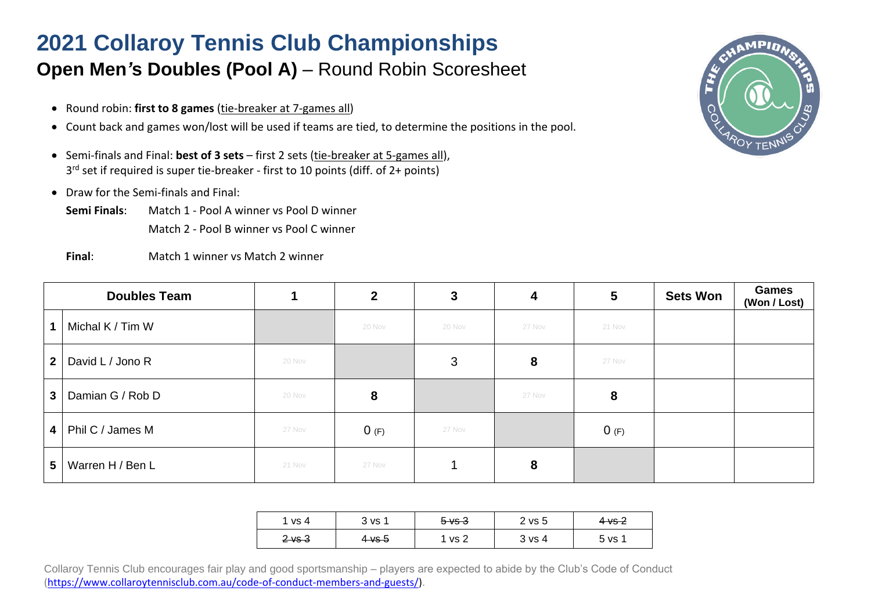## **2021 Collaroy Tennis Club Championships Open Men's Doubles (Pool A)** – Round Robin Scoresheet

- Round robin: **first to 8 games** (tie-breaker at 7-games all)
- Count back and games won/lost will be used if teams are tied, to determine the positions in the pool.
- Semi-finals and Final: **best of 3 sets** first 2 sets (tie-breaker at 5-games all), 3 rd set if required is super tie-breaker - first to 10 points (diff. of 2+ points)
- Draw for the Semi-finals and Final:
	- **Semi Finals**: Match 1 Pool A winner vs Pool D winner Match 2 - Pool B winner vs Pool C winner
	- **Final**: Match 1 winner vs Match 2 winner



|                | <b>Doubles Team</b> |        | $\overline{2}$ | 3      | 4      | 5       | <b>Sets Won</b> | <b>Games</b><br>(Won / Lost) |
|----------------|---------------------|--------|----------------|--------|--------|---------|-----------------|------------------------------|
|                | Michal K / Tim W    |        | 20 Nov         | 20 Nov | 27 Nov | 21 Nov  |                 |                              |
| 2 <sub>1</sub> | David L / Jono R    | 20 Nov |                | 3      | 8      | 27 Nov  |                 |                              |
| 3              | Damian G / Rob D    | 20 Nov | 8              |        | 27 Nov | 8       |                 |                              |
| 4              | Phil C / James M    | 27 Nov | 0(F)           | 27 Nov |        | $0$ (F) |                 |                              |
| 5              | Warren H / Ben L    | 21 Nov | 27 Nov         |        | 8      |         |                 |                              |

| ' vs 4    | 3 vs 1    | $5 \vee 3$ | 2 vs 5            | $4\vee s$ 2 |
|-----------|-----------|------------|-------------------|-------------|
| $2\vee 3$ | $4\vee 5$ | vs 2       | $3 \text{ vs } 4$ | 5 vs 1      |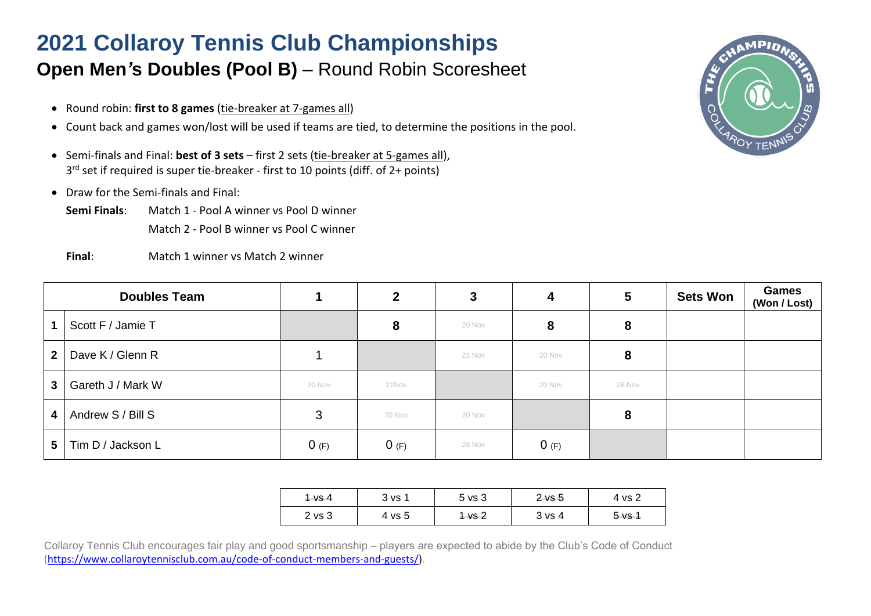## **2021 Collaroy Tennis Club Championships Open Men's Doubles (Pool B)** – Round Robin Scoresheet

- Round robin: **first to 8 games** (tie-breaker at 7-games all)
- Count back and games won/lost will be used if teams are tied, to determine the positions in the pool.
- Semi-finals and Final: **best of 3 sets** first 2 sets (tie-breaker at 5-games all), 3 rd set if required is super tie-breaker - first to 10 points (diff. of 2+ points)
- Draw for the Semi-finals and Final:
	- **Semi Finals**: Match 1 Pool A winner vs Pool D winner Match 2 - Pool B winner vs Pool C winner
	- **Final**: Match 1 winner vs Match 2 winner



|              | <b>Doubles Team</b> |        | $\mathbf{2}$ | 3      | 4       | 5      | <b>Sets Won</b> | <b>Games</b><br>(Won / Lost) |
|--------------|---------------------|--------|--------------|--------|---------|--------|-----------------|------------------------------|
|              | Scott F / Jamie T   |        | 8            | 20 Nov | 8       | 8      |                 |                              |
| $\mathbf{2}$ | Dave K / Glenn R    |        |              | 21 Nov | 20 Nov  | 8      |                 |                              |
| $\mathbf{3}$ | Gareth J / Mark W   | 20 Nov | 21Nov        |        | 20 Nov  | 28 Nov |                 |                              |
| 4            | Andrew S / Bill S   | 3      | 20 Nov       | 20 Nov |         | 8      |                 |                              |
| 5            | Tim D / Jackson L   | 0(F)   | 0(F)         | 28 Nov | $0$ (F) |        |                 |                              |

| <del>1 vs 4</del> | 3 VS 1 | 5 vs 3            | $2$ vs 5 | 4 vs 2            |
|-------------------|--------|-------------------|----------|-------------------|
| $2 \text{ vs } 3$ | 4 vs 5 | <del>1 vs 2</del> | 3 vs 4   | <del>5 vs 1</del> |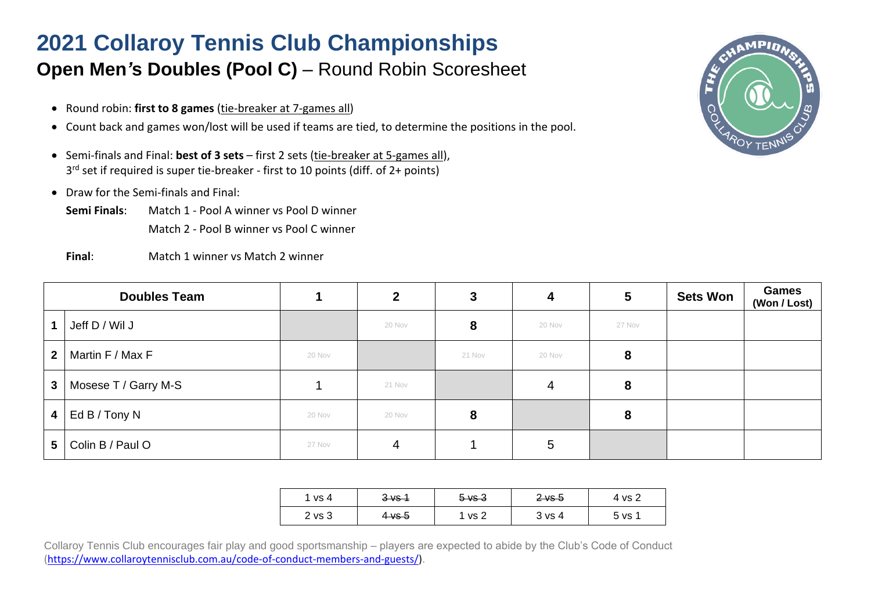## **2021 Collaroy Tennis Club Championships Open Men's Doubles (Pool C)** – Round Robin Scoresheet

- Round robin: **first to 8 games** (tie-breaker at 7-games all)
- Count back and games won/lost will be used if teams are tied, to determine the positions in the pool.
- Semi-finals and Final: **best of 3 sets** first 2 sets (tie-breaker at 5-games all), 3 rd set if required is super tie-breaker - first to 10 points (diff. of 2+ points)
- Draw for the Semi-finals and Final:
	- **Semi Finals**: Match 1 Pool A winner vs Pool D winner Match 2 - Pool B winner vs Pool C winner
	- **Final**: Match 1 winner vs Match 2 winner



|                         | <b>Doubles Team</b>  |        | $\mathbf{2}$ |        | 4      | 5      | <b>Sets Won</b> | <b>Games</b><br>(Won / Lost) |
|-------------------------|----------------------|--------|--------------|--------|--------|--------|-----------------|------------------------------|
| $\mathbf 1$             | Jeff D / Wil J       |        | 20 Nov       |        | 20 Nov | 27 Nov |                 |                              |
| $\overline{2}$          | Martin F / Max F     | 20 Nov |              | 21 Nov | 20 Nov | 8      |                 |                              |
| $3^{\circ}$             | Mosese T / Garry M-S |        | 21 Nov       |        | 4      |        |                 |                              |
| $\overline{\mathbf{4}}$ | Ed B / Tony N        | 20 Nov | 20 Nov       |        |        | 8      |                 |                              |
| 5                       | Colin B / Paul O     | 27 Nov | 4            |        | 5      |        |                 |                              |

| vs 4   | <del>3 vs 1</del> | $5 \sqrt{3}$ | $2$ vs 5 | 4 vs 2          |
|--------|-------------------|--------------|----------|-----------------|
| 2 vs 3 | <del>4 vs 5</del> | vs 2         | 3 vs 4   | 5 <sub>vs</sub> |